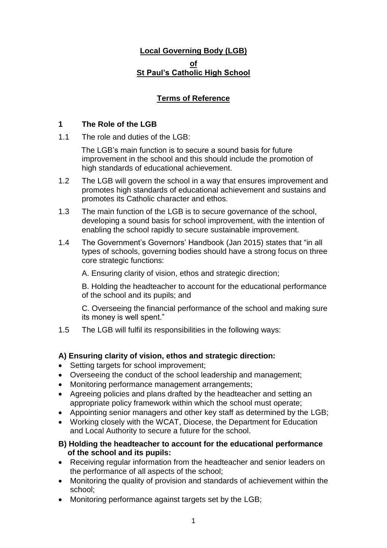# **Local Governing Body (LGB) of St Paul's Catholic High School**

# **Terms of Reference**

### **1 The Role of the LGB**

1.1 The role and duties of the LGB:

The LGB's main function is to secure a sound basis for future improvement in the school and this should include the promotion of high standards of educational achievement.

- 1.2 The LGB will govern the school in a way that ensures improvement and promotes high standards of educational achievement and sustains and promotes its Catholic character and ethos.
- 1.3 The main function of the LGB is to secure governance of the school, developing a sound basis for school improvement, with the intention of enabling the school rapidly to secure sustainable improvement.
- 1.4 The Government's Governors' Handbook (Jan 2015) states that "in all types of schools, governing bodies should have a strong focus on three core strategic functions:

A. Ensuring clarity of vision, ethos and strategic direction;

B. Holding the headteacher to account for the educational performance of the school and its pupils; and

C. Overseeing the financial performance of the school and making sure its money is well spent."

1.5 The LGB will fulfil its responsibilities in the following ways:

## **A) Ensuring clarity of vision, ethos and strategic direction:**

- Setting targets for school improvement;
- Overseeing the conduct of the school leadership and management;
- Monitoring performance management arrangements;
- Agreeing policies and plans drafted by the headteacher and setting an appropriate policy framework within which the school must operate;
- Appointing senior managers and other key staff as determined by the LGB;
- Working closely with the WCAT, Diocese, the Department for Education and Local Authority to secure a future for the school.

#### **B) Holding the headteacher to account for the educational performance of the school and its pupils:**

- Receiving regular information from the headteacher and senior leaders on the performance of all aspects of the school;
- Monitoring the quality of provision and standards of achievement within the school;
- Monitoring performance against targets set by the LGB;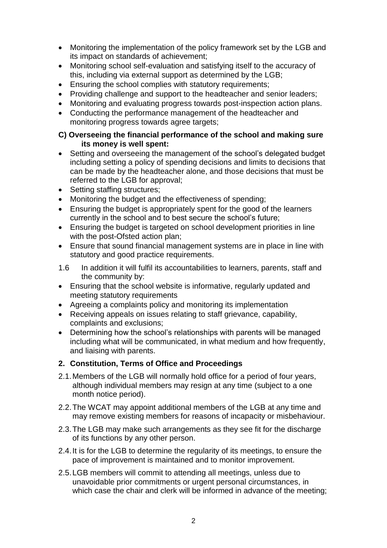- Monitoring the implementation of the policy framework set by the LGB and its impact on standards of achievement;
- Monitoring school self-evaluation and satisfying itself to the accuracy of this, including via external support as determined by the LGB;
- Ensuring the school complies with statutory requirements;
- Providing challenge and support to the headteacher and senior leaders;
- Monitoring and evaluating progress towards post-inspection action plans.
- Conducting the performance management of the headteacher and monitoring progress towards agree targets;

#### **C) Overseeing the financial performance of the school and making sure its money is well spent:**

- Setting and overseeing the management of the school's delegated budget including setting a policy of spending decisions and limits to decisions that can be made by the headteacher alone, and those decisions that must be referred to the LGB for approval;
- Setting staffing structures:
- Monitoring the budget and the effectiveness of spending;
- Ensuring the budget is appropriately spent for the good of the learners currently in the school and to best secure the school's future;
- Ensuring the budget is targeted on school development priorities in line with the post-Ofsted action plan;
- Ensure that sound financial management systems are in place in line with statutory and good practice requirements.
- 1.6 In addition it will fulfil its accountabilities to learners, parents, staff and the community by:
- Ensuring that the school website is informative, regularly updated and meeting statutory requirements
- Agreeing a complaints policy and monitoring its implementation
- Receiving appeals on issues relating to staff grievance, capability, complaints and exclusions;
- Determining how the school's relationships with parents will be managed including what will be communicated, in what medium and how frequently, and liaising with parents.

## **2. Constitution, Terms of Office and Proceedings**

- 2.1.Members of the LGB will normally hold office for a period of four years, although individual members may resign at any time (subject to a one month notice period).
- 2.2.The WCAT may appoint additional members of the LGB at any time and may remove existing members for reasons of incapacity or misbehaviour.
- 2.3.The LGB may make such arrangements as they see fit for the discharge of its functions by any other person.
- 2.4.It is for the LGB to determine the regularity of its meetings, to ensure the pace of improvement is maintained and to monitor improvement.
- 2.5.LGB members will commit to attending all meetings, unless due to unavoidable prior commitments or urgent personal circumstances, in which case the chair and clerk will be informed in advance of the meeting: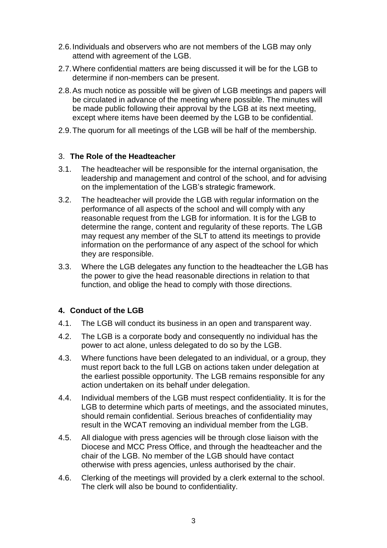- 2.6.Individuals and observers who are not members of the LGB may only attend with agreement of the LGB.
- 2.7.Where confidential matters are being discussed it will be for the LGB to determine if non-members can be present.
- 2.8.As much notice as possible will be given of LGB meetings and papers will be circulated in advance of the meeting where possible. The minutes will be made public following their approval by the LGB at its next meeting, except where items have been deemed by the LGB to be confidential.
- 2.9.The quorum for all meetings of the LGB will be half of the membership.

#### 3. **The Role of the Headteacher**

- 3.1. The headteacher will be responsible for the internal organisation, the leadership and management and control of the school, and for advising on the implementation of the LGB's strategic framework.
- 3.2. The headteacher will provide the LGB with regular information on the performance of all aspects of the school and will comply with any reasonable request from the LGB for information. It is for the LGB to determine the range, content and regularity of these reports. The LGB may request any member of the SLT to attend its meetings to provide information on the performance of any aspect of the school for which they are responsible.
- 3.3. Where the LGB delegates any function to the headteacher the LGB has the power to give the head reasonable directions in relation to that function, and oblige the head to comply with those directions.

#### **4. Conduct of the LGB**

- 4.1. The LGB will conduct its business in an open and transparent way.
- 4.2. The LGB is a corporate body and consequently no individual has the power to act alone, unless delegated to do so by the LGB.
- 4.3. Where functions have been delegated to an individual, or a group, they must report back to the full LGB on actions taken under delegation at the earliest possible opportunity. The LGB remains responsible for any action undertaken on its behalf under delegation.
- 4.4. Individual members of the LGB must respect confidentiality. It is for the LGB to determine which parts of meetings, and the associated minutes, should remain confidential. Serious breaches of confidentiality may result in the WCAT removing an individual member from the LGB.
- 4.5. All dialogue with press agencies will be through close liaison with the Diocese and MCC Press Office, and through the headteacher and the chair of the LGB. No member of the LGB should have contact otherwise with press agencies, unless authorised by the chair.
- 4.6. Clerking of the meetings will provided by a clerk external to the school. The clerk will also be bound to confidentiality.